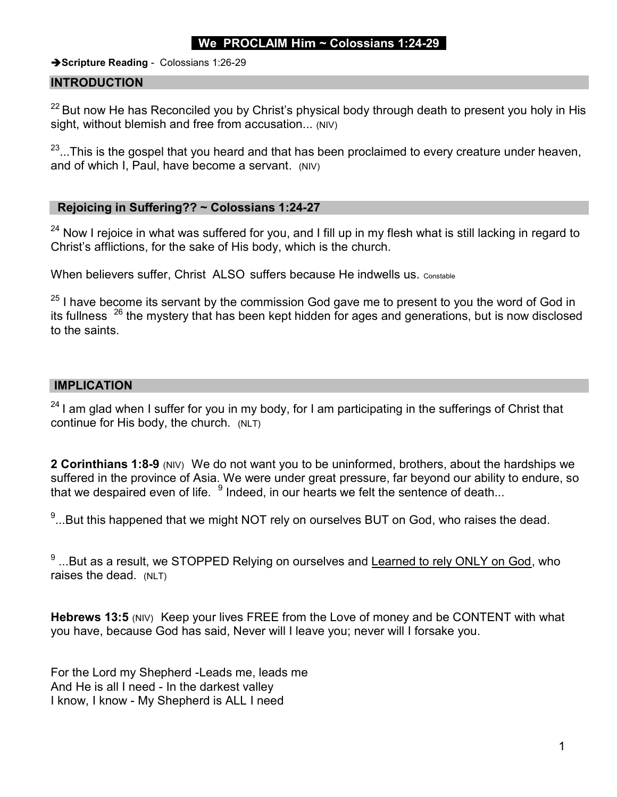# We PROCLAIM Him  $\sim$  Colossians 1:24-29

Scripture Reading - Colossians 1:26-29

#### INTRODUCTION

 $22$  But now He has Reconciled you by Christ's physical body through death to present you holy in His sight, without blemish and free from accusation... (NIV)

 $23...$ This is the gospel that you heard and that has been proclaimed to every creature under heaven, and of which I, Paul, have become a servant. (NIV)

#### Rejoicing in Suffering?? ~ Colossians 1:24-27

<sup>24</sup> Now I rejoice in what was suffered for you, and I fill up in my flesh what is still lacking in regard to Christ's afflictions, for the sake of His body, which is the church.

When believers suffer, Christ ALSO suffers because He indwells us. Constable

 $25$  I have become its servant by the commission God gave me to present to you the word of God in its fullness  $26$  the mystery that has been kept hidden for ages and generations, but is now disclosed to the saints.

### IMPLICATION

 $24$  I am glad when I suffer for you in my body, for I am participating in the sufferings of Christ that continue for His body, the church. (NLT)

2 Corinthians 1:8-9 (NIV) We do not want you to be uninformed, brothers, about the hardships we suffered in the province of Asia. We were under great pressure, far beyond our ability to endure, so that we despaired even of life.  $\,{}^9$  Indeed, in our hearts we felt the sentence of death...

 $^9$ ...But this happened that we might NOT rely on ourselves BUT on God, who raises the dead.

 $^9$  ...But as a result, we STOPPED Relying on ourselves and <u>Learned to rely ONLY on God,</u> who raises the dead. (NLT)

Hebrews 13:5 (NIV) Keep your lives FREE from the Love of money and be CONTENT with what you have, because God has said, Never will I leave you; never will I forsake you.

For the Lord my Shepherd -Leads me, leads me And He is all I need - In the darkest valley I know, I know - My Shepherd is ALL I need